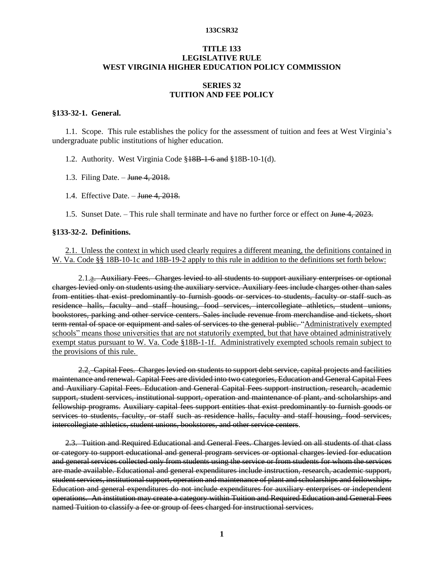# **TITLE 133 LEGISLATIVE RULE WEST VIRGINIA HIGHER EDUCATION POLICY COMMISSION**

# **SERIES 32 TUITION AND FEE POLICY**

### **§133-32-1. General.**

1.1. Scope. This rule establishes the policy for the assessment of tuition and fees at West Virginia's undergraduate public institutions of higher education.

1.2. Authority. West Virginia Code §18B-1-6 and §18B-10-1(d).

1.3. Filing Date. – June 4, 2018.

1.4. Effective Date. – June 4, 2018.

1.5. Sunset Date. – This rule shall terminate and have no further force or effect on June 4, 2023.

### **§133-32-2. Definitions.**

# 2.1. Unless the context in which used clearly requires a different meaning, the definitions contained in W. Va. Code §§ 18B-10-1c and 18B-19-2 apply to this rule in addition to the definitions set forth below:

2.1.<sub>a.</sub> Auxiliary Fees. Charges levied to all students to support auxiliary enterprises or optional charges levied only on students using the auxiliary service. Auxiliary fees include charges other than sales from entities that exist predominantly to furnish goods or services to students, faculty or staff such as residence halls, faculty and staff housing, food services, intercollegiate athletics, student unions, bookstores, parking and other service centers. Sales include revenue from merchandise and tickets, short term rental of space or equipment and sales of services to the general public. "Administratively exempted schools" means those universities that are not statutorily exempted, but that have obtained administratively exempt status pursuant to W. Va. Code §18B-1-1f. Administratively exempted schools remain subject to the provisions of this rule.

2.2. Capital Fees. Charges levied on students to support debt service, capital projects and facilities maintenance and renewal. Capital Fees are divided into two categories, Education and General Capital Fees and Auxiliary Capital Fees. Education and General Capital Fees support instruction, research, academic support, student services, institutional support, operation and maintenance of plant, and scholarships and fellowship programs. Auxiliary capital fees support entities that exist predominantly to furnish goods or services to students, faculty, or staff such as residence halls, faculty and staff housing, food services, intercollegiate athletics, student unions, bookstores, and other service centers.

2.3. Tuition and Required Educational and General Fees. Charges levied on all students of that class or category to support educational and general program services or optional charges levied for education and general services collected only from students using the service or from students for whom the services are made available. Educational and general expenditures include instruction, research, academic support, student services, institutional support, operation and maintenance of plant and scholarships and fellowships. Education and general expenditures do not include expenditures for auxiliary enterprises or independent operations. An institution may create a category within Tuition and Required Education and General Fees named Tuition to classify a fee or group of fees charged for instructional services.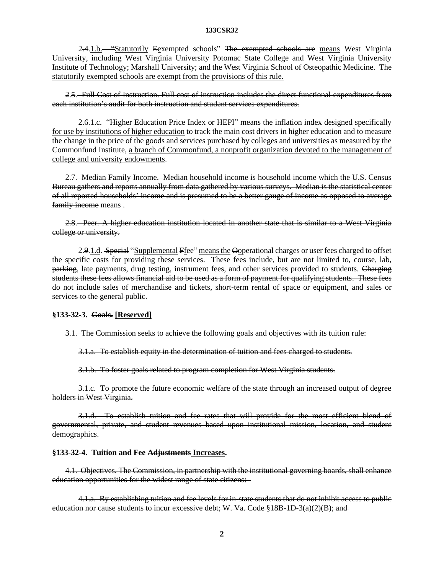2.4.1.b. "Statutorily Eexempted schools" The exempted schools are means West Virginia University, including West Virginia University Potomac State College and West Virginia University Institute of Technology; Marshall University; and the West Virginia School of Osteopathic Medicine. The statutorily exempted schools are exempt from the provisions of this rule.

2.5. Full Cost of Instruction. Full cost of instruction includes the direct functional expenditures from each institution's audit for both instruction and student services expenditures.

2.6.1.c. "Higher Education Price Index or HEPI" means the inflation index designed specifically for use by institutions of higher education to track the main cost drivers in higher education and to measure the change in the price of the goods and services purchased by colleges and universities as measured by the Commonfund Institute, a branch of Commonfund, a nonprofit organization devoted to the management of college and university endowments.

2.7. Median Family Income. Median household income is household income which the U.S. Census Bureau gathers and reports annually from data gathered by various surveys. Median is the statistical center of all reported households' income and is presumed to be a better gauge of income as opposed to average family income means.

2.8. Peer. A higher education institution located in another state that is similar to a West Virginia college or university.

2.9.1.d. Special "Supplemental Ffee" means the Ooperational charges or user fees charged to offset the specific costs for providing these services. These fees include, but are not limited to, course, lab, parking, late payments, drug testing, instrument fees, and other services provided to students. Charging students these fees allows financial aid to be used as a form of payment for qualifying students. These fees do not include sales of merchandise and tickets, short-term rental of space or equipment, and sales or services to the general public.

# **§133-32-3. Goals. [Reserved]**

3.1. The Commission seeks to achieve the following goals and objectives with its tuition rule:

3.1.a. To establish equity in the determination of tuition and fees charged to students.

3.1.b. To foster goals related to program completion for West Virginia students.

3.1.c. To promote the future economic welfare of the state through an increased output of degree holders in West Virginia.

3.1.d. To establish tuition and fee rates that will provide for the most efficient blend of governmental, private, and student revenues based upon institutional mission, location, and student demographics.

### **§133-32-4. Tuition and Fee Adjustments Increases.**

4.1. Objectives. The Commission, in partnership with the institutional governing boards, shall enhance education opportunities for the widest range of state citizens:

4.1.a. By establishing tuition and fee levels for in-state students that do not inhibit access to public education nor cause students to incur excessive debt; W. Va. Code  $$18B-1D-3(a)(2)(B);$  and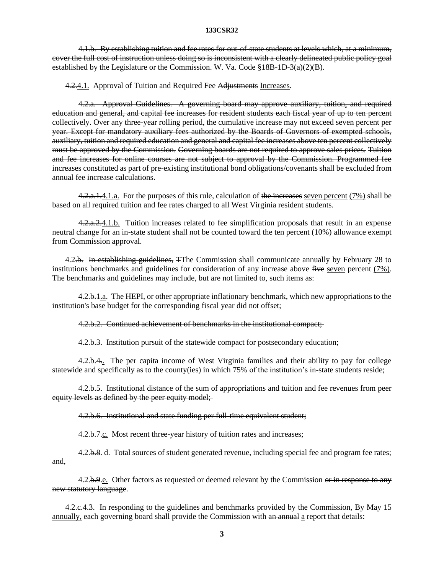4.1.b. By establishing tuition and fee rates for out-of-state students at levels which, at a minimum, cover the full cost of instruction unless doing so is inconsistent with a clearly delineated public policy goal established by the Legislature or the Commission. W. Va. Code §18B-1D-3(a)(2)(B).

4.2.4.1. Approval of Tuition and Required Fee Adjustments Increases.

4.2.a. Approval Guidelines. A governing board may approve auxiliary, tuition, and required education and general, and capital fee increases for resident students each fiscal year of up to ten percent collectively. Over any three-year rolling period, the cumulative increase may not exceed seven percent per year. Except for mandatory auxiliary fees authorized by the Boards of Governors of exempted schools, auxiliary, tuition and required education and general and capital fee increases above ten percent collectively must be approved by the Commission. Governing boards are not required to approve sales prices. Tuition and fee increases for online courses are not subject to approval by the Commission. Programmed fee increases constituted as part of pre-existing institutional bond obligations/covenants shall be excluded from annual fee increase calculations.

4.2.a.1.4.1.a. For the purposes of this rule, calculation of the increases seven percent (7%) shall be based on all required tuition and fee rates charged to all West Virginia resident students.

4.2.a.2.4.1.b. Tuition increases related to fee simplification proposals that result in an expense neutral change for an in-state student shall not be counted toward the ten percent (10%) allowance exempt from Commission approval.

4.2.b. In establishing guidelines, The Commission shall communicate annually by February 28 to institutions benchmarks and guidelines for consideration of any increase above five seven percent (7%). The benchmarks and guidelines may include, but are not limited to, such items as:

4.2.b.1.a. The HEPI, or other appropriate inflationary benchmark, which new appropriations to the institution's base budget for the corresponding fiscal year did not offset;

# 4.2.b.2. Continued achievement of benchmarks in the institutional compact;

4.2.b.3. Institution pursuit of the statewide compact for postsecondary education;

4.2.b.4.. The per capita income of West Virginia families and their ability to pay for college statewide and specifically as to the county(ies) in which 75% of the institution's in-state students reside;

4.2.b.5. Institutional distance of the sum of appropriations and tuition and fee revenues from peer equity levels as defined by the peer equity model;

# 4.2.b.6. Institutional and state funding per full-time equivalent student;

4.2.b.7.c. Most recent three-year history of tuition rates and increases;

4.2.b.8. d. Total sources of student generated revenue, including special fee and program fee rates; and,

4.2.b.9.e. Other factors as requested or deemed relevant by the Commission or in response to any new statutory language.

4.2.c.4.3. In responding to the guidelines and benchmarks provided by the Commission, By May 15 annually, each governing board shall provide the Commission with an annual a report that details: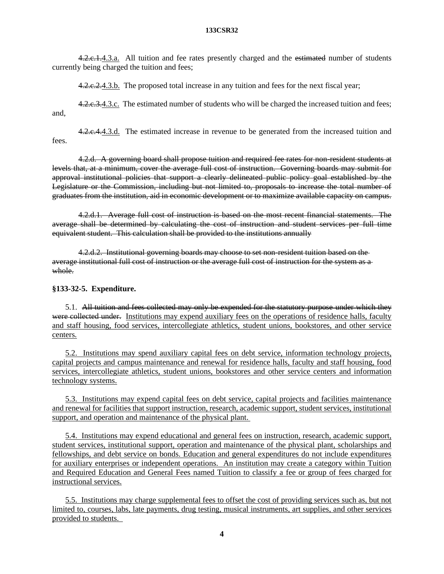4.2.c.1.4.3.a. All tuition and fee rates presently charged and the estimated number of students currently being charged the tuition and fees;

4.2.e. 2.4.3.b. The proposed total increase in any tuition and fees for the next fiscal year;

4.2.e.3.4.3.c. The estimated number of students who will be charged the increased tuition and fees; and,

4.2.e.4.4.3.d. The estimated increase in revenue to be generated from the increased tuition and fees.

4.2.d. A governing board shall propose tuition and required fee rates for non-resident students at levels that, at a minimum, cover the average full cost of instruction. Governing boards may submit for approval institutional policies that support a clearly delineated public policy goal established by the Legislature or the Commission, including but not limited to, proposals to increase the total number of graduates from the institution, aid in economic development or to maximize available capacity on campus.

4.2.d.1. Average full cost of instruction is based on the most recent financial statements. The average shall be determined by calculating the cost of instruction and student services per full time equivalent student. This calculation shall be provided to the institutions annually

4.2.d.2. Institutional governing boards may choose to set non-resident tuition based on the average institutional full cost of instruction or the average full cost of instruction for the system as a whole.

# **§133-32-5. Expenditure.**

5.1. All tuition and fees collected may only be expended for the statutory purpose under which they were collected under. Institutions may expend auxiliary fees on the operations of residence halls, faculty and staff housing, food services, intercollegiate athletics, student unions, bookstores, and other service centers.

5.2. Institutions may spend auxiliary capital fees on debt service, information technology projects, capital projects and campus maintenance and renewal for residence halls, faculty and staff housing, food services, intercollegiate athletics, student unions, bookstores and other service centers and information technology systems.

5.3. Institutions may expend capital fees on debt service, capital projects and facilities maintenance and renewal for facilities that support instruction, research, academic support, student services, institutional support, and operation and maintenance of the physical plant.

5.4. Institutions may expend educational and general fees on instruction, research, academic support, student services, institutional support, operation and maintenance of the physical plant, scholarships and fellowships, and debt service on bonds. Education and general expenditures do not include expenditures for auxiliary enterprises or independent operations. An institution may create a category within Tuition and Required Education and General Fees named Tuition to classify a fee or group of fees charged for instructional services.

5.5. Institutions may charge supplemental fees to offset the cost of providing services such as, but not limited to, courses, labs, late payments, drug testing, musical instruments, art supplies, and other services provided to students.